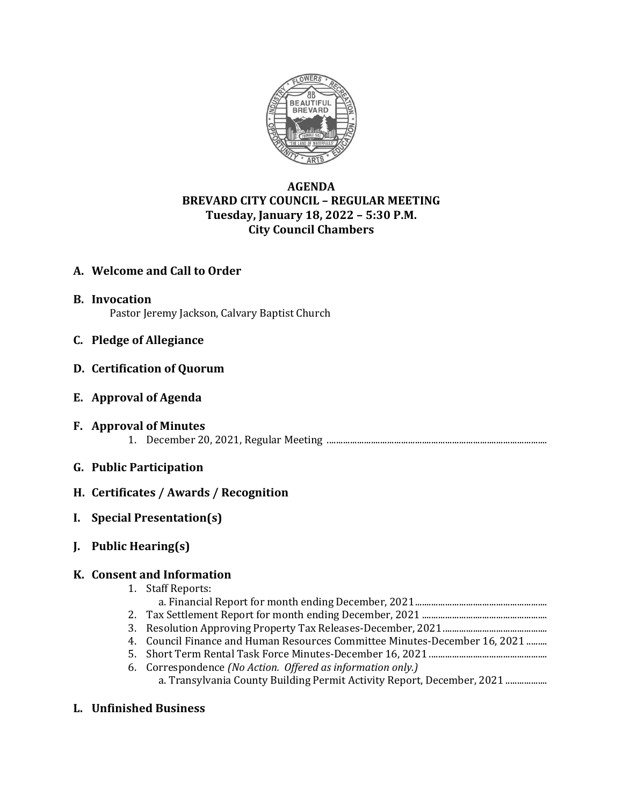

# **AGENDA BREVARD CITY COUNCIL – REGULAR MEETING Tuesday, January 18, 2022 – 5:30 P.M. City Council Chambers**

## **A. Welcome and Call to Order**

- **B. Invocation** Pastor Jeremy Jackson, Calvary Baptist Church
- **C. Pledge of Allegiance**
- **D. Certification of Quorum**
- **E. Approval of Agenda**
- **F. Approval of Minutes** 1. December 20, 2021, Regular Meeting ...............................................................................................
- **G. Public Participation**
- **H. Certificates / Awards / Recognition**
- **I. Special Presentation(s)**
- **J. Public Hearing(s)**

### **K. Consent and Information**

- 1. Staff Reports:
- a. Financial Report for month ending December, 2021.........................................................
- 2. Tax Settlement Report for month ending December, 2021 ......................................................
- 3. Resolution Approving Property Tax Releases-December, 2021.............................................
- 4. Council Finance and Human Resources Committee Minutes-December 16, 2021 .........
- 5. Short Term Rental Task Force Minutes-December 16, 2021 ...................................................
- 6. Correspondence *(No Action. Offered as information only.)* a. Transylvania County Building Permit Activity Report, December, 2021 ..................
- **L. Unfinished Business**